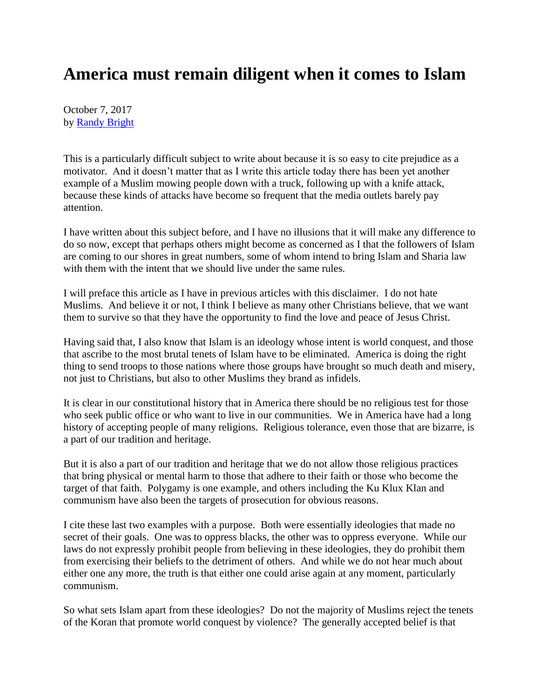## **America must remain diligent when it comes to Islam**

October 7, 2017 by [Randy Bright](http://tulsabeacon.com/writers/randy-bright/)

This is a particularly difficult subject to write about because it is so easy to cite prejudice as a motivator. And it doesn't matter that as I write this article today there has been yet another example of a Muslim mowing people down with a truck, following up with a knife attack, because these kinds of attacks have become so frequent that the media outlets barely pay attention.

I have written about this subject before, and I have no illusions that it will make any difference to do so now, except that perhaps others might become as concerned as I that the followers of Islam are coming to our shores in great numbers, some of whom intend to bring Islam and Sharia law with them with the intent that we should live under the same rules.

I will preface this article as I have in previous articles with this disclaimer. I do not hate Muslims. And believe it or not, I think I believe as many other Christians believe, that we want them to survive so that they have the opportunity to find the love and peace of Jesus Christ.

Having said that, I also know that Islam is an ideology whose intent is world conquest, and those that ascribe to the most brutal tenets of Islam have to be eliminated. America is doing the right thing to send troops to those nations where those groups have brought so much death and misery, not just to Christians, but also to other Muslims they brand as infidels.

It is clear in our constitutional history that in America there should be no religious test for those who seek public office or who want to live in our communities. We in America have had a long history of accepting people of many religions. Religious tolerance, even those that are bizarre, is a part of our tradition and heritage.

But it is also a part of our tradition and heritage that we do not allow those religious practices that bring physical or mental harm to those that adhere to their faith or those who become the target of that faith. Polygamy is one example, and others including the Ku Klux Klan and communism have also been the targets of prosecution for obvious reasons.

I cite these last two examples with a purpose. Both were essentially ideologies that made no secret of their goals. One was to oppress blacks, the other was to oppress everyone. While our laws do not expressly prohibit people from believing in these ideologies, they do prohibit them from exercising their beliefs to the detriment of others. And while we do not hear much about either one any more, the truth is that either one could arise again at any moment, particularly communism.

So what sets Islam apart from these ideologies? Do not the majority of Muslims reject the tenets of the Koran that promote world conquest by violence? The generally accepted belief is that